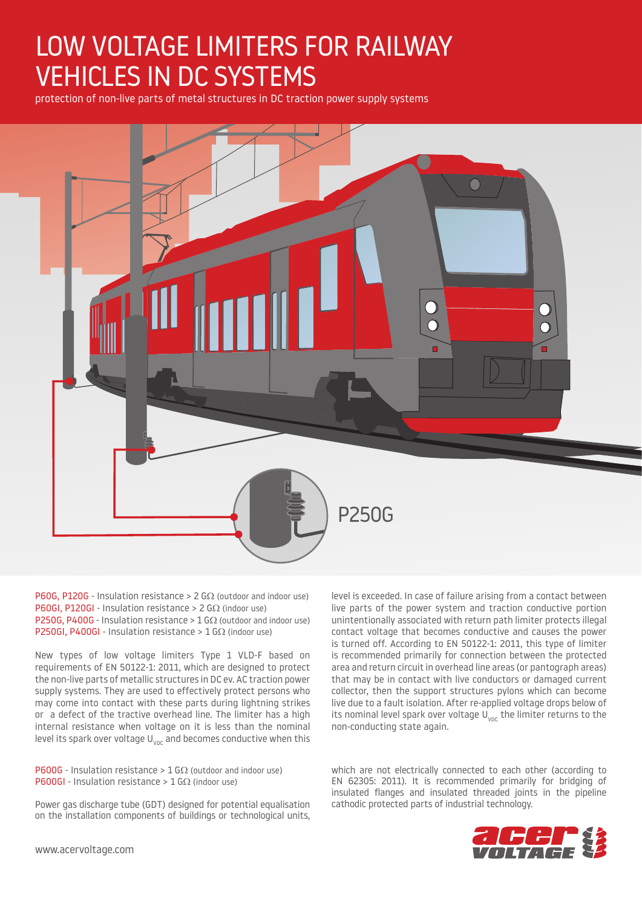# LOW VOLTAGE LIMITERS FOR RAILWAY VEHICLES IN DC SYSTEMS

protection of non-live parts of metal structures in DC traction power supply systems



P60G, P120G - Insulation resistance > 2 G $\Omega$  (outdoor and indoor use) P60GI, P120GI - Insulation resistance > 2 GΩ (indoor use) P250G, P400G - Insulation resistance >  $1$  G $\Omega$  (outdoor and indoor use) P250GI, P400GI - Insulation resistance >  $1$  G $\Omega$  (indoor use)

New types of low voltage limiters Type 1 VLD-F based on requirements of EN 50122-1: 2011, which are designed to protect the non-live parts of metallic structures in DC ev. AC traction power supply systems. They are used to effectively protect persons who may come into contact with these parts during lightning strikes or a defect of the tractive overhead line. The limiter has a high internal resistance when voltage on it is less than the nominal level its spark over voltage  $U_{\text{vac}}$  and becomes conductive when this

**P600G** - Insulation resistance >  $1$  G $\Omega$  (outdoor and indoor use) P600GI - Insulation resistance >  $1$  G $\Omega$  (indoor use)

Power gas discharge tube (GDT) designed for potential equalisation on the installation components of buildings or technological units,

level is exceeded. In case of failure arising from a contact between live parts of the power system and traction conductive portion unintentionally associated with return path limiter protects illegal contact voltage that becomes conductive and causes the power is turned off. According to EN 50122-1: 2011, this type of limiter is recommended primarily for connection between the protected area and return circuit in overhead line areas (or pantograph areas) that may be in contact with live conductors or damaged current collector, then the support structures pylons which can become live due to a fault isolation. After re-applied voltage drops below of its nominal level spark over voltage  $U_{VDC}$  the limiter returns to the non-conducting state again.

which are not electrically connected to each other (according to EN 62305: 2011). It is recommended primarily for bridging of insulated flanges and insulated threaded joints in the pipeline cathodic protected parts of industrial technology.